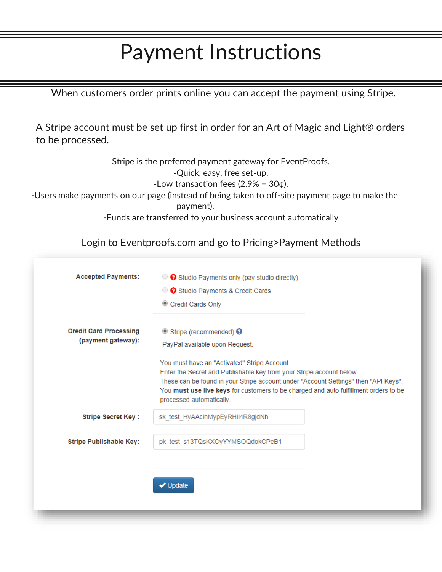## Payment Instructions

When customers order prints online you can accept the payment using Stripe.

A Stripe account must be set up first in order for an Art of Magic and Light® orders to be processed.

Stripe is the preferred payment gateway for EventProofs.

-Quick, easy, free set-up.

-Low transaction fees  $(2.9% + 30¢)$ .

-Users make payments on our page (instead of being taken to off-site payment page to make the payment).

-Funds are transferred to your business account automatically

Login to Eventproofs.com and go to Pricing>Payment Methods

| <b>Accepted Payments:</b>                           | $\bullet$ Studio Payments only (pay studio directly)                                                             |  |
|-----------------------------------------------------|------------------------------------------------------------------------------------------------------------------|--|
|                                                     | ◯ <b>O</b> Studio Payments & Credit Cards                                                                        |  |
|                                                     | Credit Cards Only                                                                                                |  |
| <b>Credit Card Processing</b><br>(payment gateway): | $\bullet$ Stripe (recommended) $\bullet$                                                                         |  |
|                                                     | PayPal available upon Request.                                                                                   |  |
|                                                     | You must have an "Activated" Stripe Account.                                                                     |  |
|                                                     | Enter the Secret and Publishable key from your Stripe account below.                                             |  |
|                                                     | These can be found in your Stripe account under "Account Settings" then "API Keys".                              |  |
|                                                     | You must use live keys for customers to be charged and auto fulfillment orders to be<br>processed automatically. |  |
| <b>Stripe Secret Key:</b>                           | sk_test_HyAAcihMypEyRHil4R8gjdNh                                                                                 |  |
| <b>Stripe Publishable Key:</b>                      | pk test s13TQsKXOyYYMSOQdokCPeB1                                                                                 |  |
|                                                     |                                                                                                                  |  |
|                                                     |                                                                                                                  |  |
|                                                     | <b>√</b> Update                                                                                                  |  |
|                                                     |                                                                                                                  |  |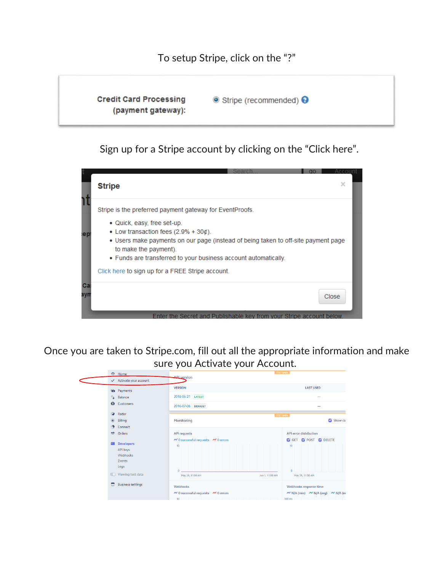

Sign up for a Stripe account by clicking on the "Click here".



Once you are taken to Stripe.com, fill out all the appropriate information and make sure you Activate your Account.

|                                                                                           | 合<br>Home                                                                          |                                                                                                       | <b>TEST DATA</b>                                                                      |  |
|-------------------------------------------------------------------------------------------|------------------------------------------------------------------------------------|-------------------------------------------------------------------------------------------------------|---------------------------------------------------------------------------------------|--|
|                                                                                           | $\checkmark$ Activate your account                                                 | <b>API</b> version                                                                                    |                                                                                       |  |
| <b>Payments</b>                                                                           |                                                                                    | <b>VERSION</b>                                                                                        | <b>LAST USED</b>                                                                      |  |
|                                                                                           | <b>L</b> Balance                                                                   | 2018-05-21 [LATEST]                                                                                   |                                                                                       |  |
|                                                                                           | <b>Q</b> Customers                                                                 | 2016-07-06 DEFAULT                                                                                    |                                                                                       |  |
|                                                                                           | Radar<br>$\bullet$                                                                 | <b>TEST DATA</b>                                                                                      |                                                                                       |  |
|                                                                                           | $\circledcirc$<br>Billing                                                          | Monitoring                                                                                            | Show ca                                                                               |  |
|                                                                                           | Connect<br>$\bigoplus$                                                             |                                                                                                       |                                                                                       |  |
|                                                                                           | wh.<br>Orders                                                                      | <b>API requests</b>                                                                                   | <b>API error distribution</b>                                                         |  |
|                                                                                           | <b>Developers</b><br>API keys<br>Webhooks<br>Events<br>Logs<br>O Viewing test data | $\sim$ 0 successful requests $\sim$ 0 errors<br>10<br>$\Omega$<br>May 25, 11:00 AM<br>Jun 1, 11:00 AM | GET <b>OF POST OF DELETE</b><br>10<br>$\Omega$<br>May 25, 11:00 AM                    |  |
| <b>Business settings</b><br>e<br>Webhooks<br>$\sim$ 0 successful requests $\sim$ 0 errors |                                                                                    | 10 <sup>10</sup>                                                                                      | Webhooks response time<br>$\sim$ N/A (min) $\sim$ N/A (avg) $\sim$ N/A (m<br>$100$ ms |  |